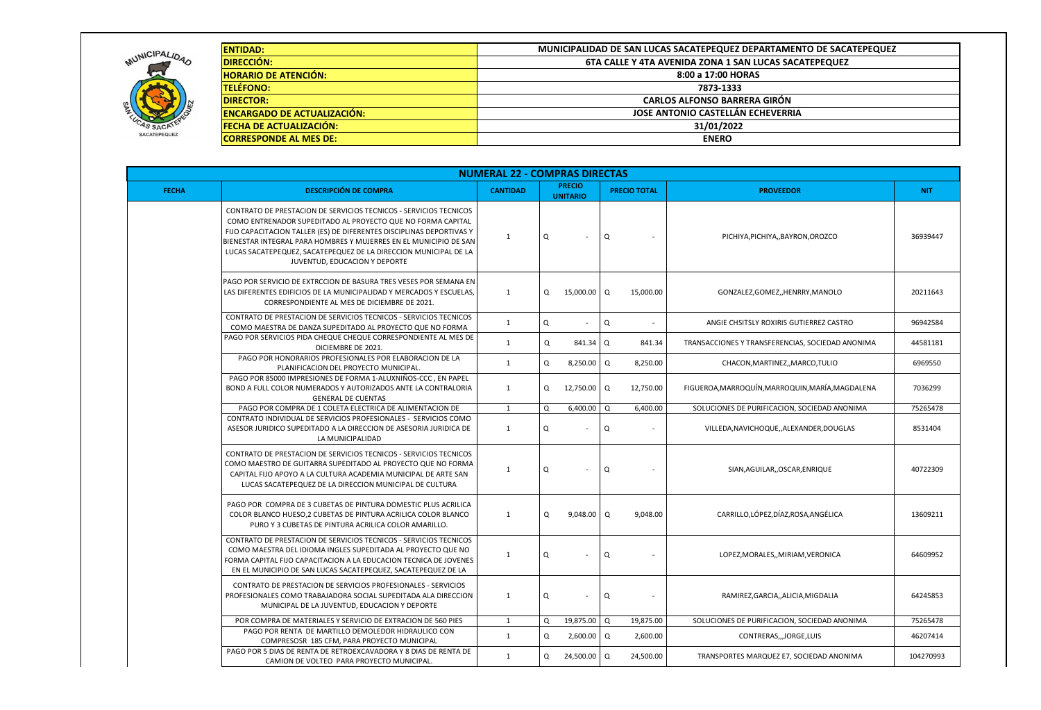|                     | <b>ENTIDAD:</b><br>MUNICIPALIDAD DE SAN LUCAS SACATEPEQUEZ DEPARTAMENTO DE SACATEPEQUEZ                                                  |                                                        |   |                                  |     |                     |                                                  |            |  |  |  |  |  |  |
|---------------------|------------------------------------------------------------------------------------------------------------------------------------------|--------------------------------------------------------|---|----------------------------------|-----|---------------------|--------------------------------------------------|------------|--|--|--|--|--|--|
| MUNICIPALIDAD       | <b>DIRECCIÓN:</b>                                                                                                                        | 6TA CALLE Y 4TA AVENIDA ZONA 1 SAN LUCAS SACATEPEQUEZ  |   |                                  |     |                     |                                                  |            |  |  |  |  |  |  |
|                     | <b>HORARIO DE ATENCIÓN:</b>                                                                                                              | 8:00 a 17:00 HORAS                                     |   |                                  |     |                     |                                                  |            |  |  |  |  |  |  |
|                     | <b>TELÉFONO:</b>                                                                                                                         | 7873-1333                                              |   |                                  |     |                     |                                                  |            |  |  |  |  |  |  |
|                     | <b>DIRECTOR:</b>                                                                                                                         | <b>CARLOS ALFONSO BARRERA GIRÓN</b>                    |   |                                  |     |                     |                                                  |            |  |  |  |  |  |  |
|                     | <b>ENCARGADO DE ACTUALIZACIÓN:</b>                                                                                                       | <b>JOSE ANTONIO CASTELLÁN ECHEVERRIA</b><br>31/01/2022 |   |                                  |     |                     |                                                  |            |  |  |  |  |  |  |
|                     | <b>FECHA DE ACTUALIZACIÓN:</b>                                                                                                           |                                                        |   |                                  |     |                     |                                                  |            |  |  |  |  |  |  |
| <b>SACATEPEQUEZ</b> | <b>CORRESPONDE AL MES DE:</b>                                                                                                            | <b>ENERO</b>                                           |   |                                  |     |                     |                                                  |            |  |  |  |  |  |  |
|                     |                                                                                                                                          |                                                        |   |                                  |     |                     |                                                  |            |  |  |  |  |  |  |
|                     |                                                                                                                                          | <b>NUMERAL 22 - COMPRAS DIRECTAS</b>                   |   |                                  |     |                     |                                                  |            |  |  |  |  |  |  |
| <b>FECHA</b>        | <b>DESCRIPCIÓN DE COMPRA</b>                                                                                                             | <b>CANTIDAD</b>                                        |   | <b>PRECIO</b><br><b>UNITARIO</b> |     | <b>PRECIO TOTAL</b> | <b>PROVEEDOR</b>                                 | <b>NIT</b> |  |  |  |  |  |  |
|                     | CONTRATO DE PRESTACION DE SERVICIOS TECNICOS - SERVICIOS TECNICOS                                                                        |                                                        |   |                                  |     |                     |                                                  |            |  |  |  |  |  |  |
|                     | COMO ENTRENADOR SUPEDITADO AL PROYECTO QUE NO FORMA CAPITAL                                                                              |                                                        |   |                                  |     |                     |                                                  |            |  |  |  |  |  |  |
|                     | FIJO CAPACITACION TALLER (ES) DE DIFERENTES DISCIPLINAS DEPORTIVAS Y                                                                     | $\overline{1}$                                         | Q |                                  | Q   |                     | PICHIYA, PICHIYA, , BAYRON, OROZCO               | 36939447   |  |  |  |  |  |  |
|                     | BIENESTAR INTEGRAL PARA HOMBRES Y MUJERRES EN EL MUNICIPIO DE SAN                                                                        |                                                        |   |                                  |     |                     |                                                  |            |  |  |  |  |  |  |
|                     | LUCAS SACATEPEQUEZ, SACATEPEQUEZ DE LA DIRECCION MUNICIPAL DE LA<br>JUVENTUD, EDUCACION Y DEPORTE                                        |                                                        |   |                                  |     |                     |                                                  |            |  |  |  |  |  |  |
|                     |                                                                                                                                          |                                                        |   |                                  |     |                     |                                                  |            |  |  |  |  |  |  |
|                     | PAGO POR SERVICIO DE EXTRCCION DE BASURA TRES VESES POR SEMANA EN<br>LAS DIFERENTES EDIFICIOS DE LA MUNICIPALIDAD Y MERCADOS Y ESCUELAS, | 1                                                      |   | 15,000.00 Q                      |     | 15,000.00           | GONZALEZ, GOMEZ,, HENRRY, MANOLO                 | 20211643   |  |  |  |  |  |  |
|                     | CORRESPONDIENTE AL MES DE DICIEMBRE DE 2021.                                                                                             |                                                        | Q |                                  |     |                     |                                                  |            |  |  |  |  |  |  |
|                     | CONTRATO DE PRESTACION DE SERVICIOS TECNICOS - SERVICIOS TECNICOS                                                                        |                                                        |   |                                  |     |                     |                                                  |            |  |  |  |  |  |  |
|                     | COMO MAESTRA DE DANZA SUPEDITADO AL PROYECTO QUE NO FORMA                                                                                | 1                                                      | Q |                                  | Q   |                     | ANGIE CHSITSLY ROXIRIS GUTIERREZ CASTRO          | 96942584   |  |  |  |  |  |  |
|                     | PAGO POR SERVICIOS PIDA CHEQUE CHEQUE CORRESPONDIENTE AL MES DE<br>DICIEMBRE DE 2021.                                                    | -1                                                     | Q | 841.34   Q                       |     | 841.34              | TRANSACCIONES Y TRANSFERENCIAS, SOCIEDAD ANONIMA | 44581181   |  |  |  |  |  |  |
|                     | PAGO POR HONORARIOS PROFESIONALES POR ELABORACION DE LA                                                                                  | 1                                                      | Q | 8,250.00                         | Q   | 8,250.00            | CHACON, MARTINEZ,, MARCO, TULIO                  | 6969550    |  |  |  |  |  |  |
|                     | PLANIFICACION DEL PROYECTO MUNICIPAL.<br>PAGO POR 85000 IMPRESIONES DE FORMA 1-ALUXNIÑOS-CCC, EN PAPEL                                   |                                                        |   |                                  |     |                     |                                                  |            |  |  |  |  |  |  |
|                     | BOND A FULL COLOR NUMERADOS Y AUTORIZADOS ANTE LA CONTRALORIA                                                                            | 1                                                      | Q | 12,750.00 $\sqrt{Q}$             |     | 12,750.00           | FIGUEROA, MARROQUÍN, MARROQUIN, MARÍA, MAGDALENA | 7036299    |  |  |  |  |  |  |
|                     | <b>GENERAL DE CUENTAS</b>                                                                                                                |                                                        |   |                                  |     |                     |                                                  |            |  |  |  |  |  |  |
|                     | PAGO POR COMPRA DE 1 COLETA ELECTRICA DE ALIMENTACION DE<br>CONTRATO INDIVIDUAL DE SERVICIOS PROFESIONALES - SERVICIOS COMO              | 1                                                      | Q | 6,400.00                         | Q   | 6,400.00            | SOLUCIONES DE PURIFICACION, SOCIEDAD ANONIMA     | 75265478   |  |  |  |  |  |  |
|                     | ASESOR JURIDICO SUPEDITADO A LA DIRECCION DE ASESORIA JURIDICA DE                                                                        | 1                                                      | Q |                                  | Q   |                     | VILLEDA, NAVICHOQUE, , ALEXANDER, DOUGLAS        | 8531404    |  |  |  |  |  |  |
|                     | LA MUNICIPALIDAD                                                                                                                         |                                                        |   |                                  |     |                     |                                                  |            |  |  |  |  |  |  |
|                     | CONTRATO DE PRESTACION DE SERVICIOS TECNICOS - SERVICIOS TECNICOS                                                                        |                                                        |   |                                  |     |                     |                                                  |            |  |  |  |  |  |  |
|                     | COMO MAESTRO DE GUITARRA SUPEDITADO AL PROYECTO QUE NO FORMA                                                                             | $\mathbf 1$                                            | Q |                                  | Q   |                     | SIAN, AGUILAR, , OSCAR, ENRIQUE                  | 40722309   |  |  |  |  |  |  |
|                     | CAPITAL FIJO APOYO A LA CULTURA ACADEMIA MUNICIPAL DE ARTE SAN                                                                           |                                                        |   |                                  |     |                     |                                                  |            |  |  |  |  |  |  |
|                     | LUCAS SACATEPEQUEZ DE LA DIRECCION MUNICIPAL DE CULTURA                                                                                  |                                                        |   |                                  |     |                     |                                                  |            |  |  |  |  |  |  |
|                     | PAGO POR COMPRA DE 3 CUBETAS DE PINTURA DOMESTIC PLUS ACRILICA                                                                           |                                                        |   |                                  |     |                     |                                                  |            |  |  |  |  |  |  |
|                     | COLOR BLANCO HUESO, 2 CUBETAS DE PINTURA ACRILICA COLOR BLANCO                                                                           | 1                                                      | Q | $9,048.00$ Q                     |     | 9,048.00            | CARRILLO,LÓPEZ,DÍAZ,ROSA,ANGÉLICA                | 13609211   |  |  |  |  |  |  |
|                     | PURO Y 3 CUBETAS DE PINTURA ACRILICA COLOR AMARILLO.                                                                                     |                                                        |   |                                  |     |                     |                                                  |            |  |  |  |  |  |  |
|                     | CONTRATO DE PRESTACION DE SERVICIOS TECNICOS - SERVICIOS TECNICOS                                                                        |                                                        |   |                                  |     |                     |                                                  |            |  |  |  |  |  |  |
|                     | COMO MAESTRA DEL IDIOMA INGLES SUPEDITADA AL PROYECTO QUE NO<br>FORMA CAPITAL FIJO CAPACITACION A LA EDUCACION TECNICA DE JOVENES        | 1                                                      | Q | $\blacksquare$                   | Q   |                     | LOPEZ, MORALES, , MIRIAM, VERONICA               | 64609952   |  |  |  |  |  |  |
|                     | EN EL MUNICIPIO DE SAN LUCAS SACATEPEQUEZ, SACATEPEQUEZ DE LA                                                                            |                                                        |   |                                  |     |                     |                                                  |            |  |  |  |  |  |  |
|                     | CONTRATO DE PRESTACION DE SERVICIOS PROFESIONALES - SERVICIOS                                                                            |                                                        |   |                                  |     |                     |                                                  |            |  |  |  |  |  |  |
|                     | PROFESIONALES COMO TRABAJADORA SOCIAL SUPEDITADA ALA DIRECCION                                                                           | 1                                                      | Q | $\sim$                           | Q   |                     | RAMIREZ, GARCIA, , ALICIA, MIGDALIA              | 64245853   |  |  |  |  |  |  |
|                     | MUNICIPAL DE LA JUVENTUD, EDUCACION Y DEPORTE                                                                                            |                                                        |   |                                  |     |                     |                                                  |            |  |  |  |  |  |  |
|                     | POR COMPRA DE MATERIALES Y SERVICIO DE EXTRACION DE 560 PIES                                                                             | 1                                                      | Q | 19,875.00 Q                      |     | 19,875.00           | SOLUCIONES DE PURIFICACION, SOCIEDAD ANONIMA     | 75265478   |  |  |  |  |  |  |
|                     | PAGO POR RENTA DE MARTILLO DEMOLEDOR HIDRAULICO CON<br>COMPRESOSR 185 CFM, PARA PROYECTO MUNICIPAL                                       | 1                                                      | Q | 2,600.00   Q                     |     | 2,600.00            | CONTRERAS,,,JORGE,LUIS                           | 46207414   |  |  |  |  |  |  |
|                     | PAGO POR 5 DIAS DE RENTA DE RETROEXCAVADORA Y 8 DIAS DE RENTA DE                                                                         | $\mathbf{1}$                                           | Q | 24,500.00                        | 1 Q | 24,500.00           | TRANSPORTES MARQUEZ E7, SOCIEDAD ANONIMA         | 104270993  |  |  |  |  |  |  |
|                     | CAMION DE VOLTEO PARA PROYECTO MUNICIPAL.                                                                                                |                                                        |   |                                  |     |                     |                                                  |            |  |  |  |  |  |  |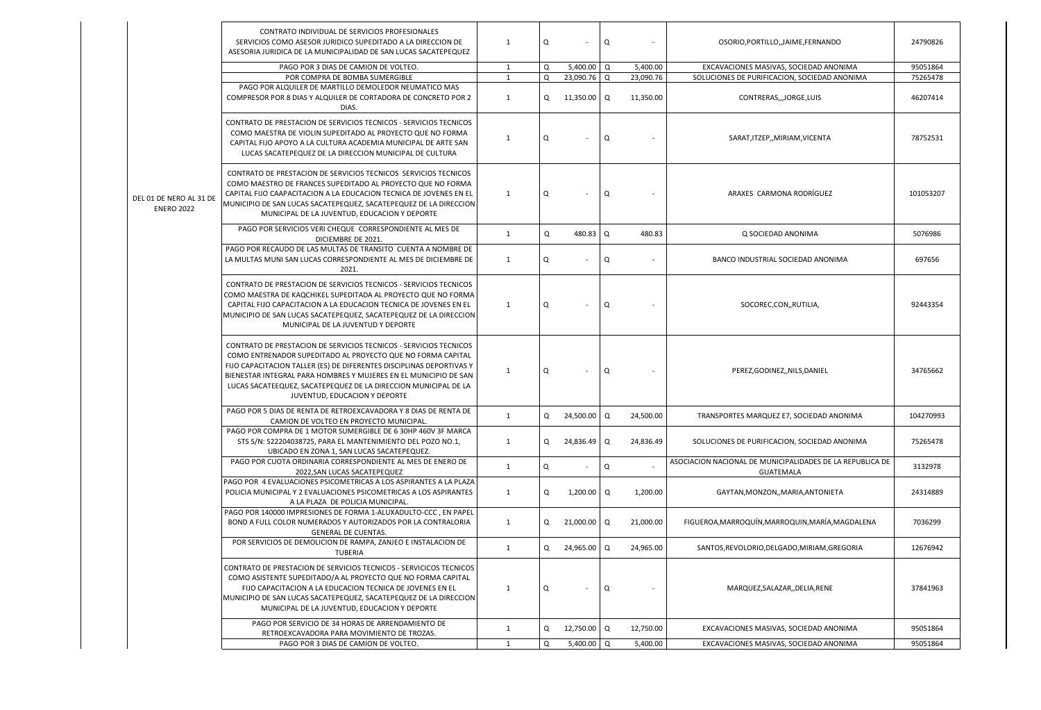|                                              | CONTRATO INDIVIDUAL DE SERVICIOS PROFESIONALES<br>SERVICIOS COMO ASESOR JURIDICO SUPEDITADO A LA DIRECCION DE<br>ASESORIA JURIDICA DE LA MUNICIPALIDAD DE SAN LUCAS SACATEPEQUEZ                                                                                                                                                                                                 | 1              | Q | $\sim$               | Q |                | OSORIO, PORTILLO,, JAIME, FERNANDO                                            | 24790826  |
|----------------------------------------------|----------------------------------------------------------------------------------------------------------------------------------------------------------------------------------------------------------------------------------------------------------------------------------------------------------------------------------------------------------------------------------|----------------|---|----------------------|---|----------------|-------------------------------------------------------------------------------|-----------|
| DEL 01 DE NERO AL 31 DE<br><b>ENERO 2022</b> | PAGO POR 3 DIAS DE CAMION DE VOLTEO.                                                                                                                                                                                                                                                                                                                                             | 1              | Q | $5,400.00$ Q         |   | 5,400.00       | EXCAVACIONES MASIVAS, SOCIEDAD ANONIMA                                        | 95051864  |
|                                              | POR COMPRA DE BOMBA SUMERGIBLE                                                                                                                                                                                                                                                                                                                                                   | $\overline{1}$ | Q | 23,090.76 Q          |   | 23,090.76      | SOLUCIONES DE PURIFICACION, SOCIEDAD ANONIMA                                  | 75265478  |
|                                              | PAGO POR ALQUILER DE MARTILLO DEMOLEDOR NEUMATICO MAS<br>COMPRESOR POR 8 DIAS Y ALQUILER DE CORTADORA DE CONCRETO POR 2<br>DIAS.                                                                                                                                                                                                                                                 | 1              | Q | 11,350.00 $\sqrt{Q}$ |   | 11,350.00      | CONTRERAS,,,JORGE,LUIS                                                        | 46207414  |
|                                              | CONTRATO DE PRESTACION DE SERVICIOS TECNICOS - SERVICIOS TECNICOS<br>COMO MAESTRA DE VIOLIN SUPEDITADO AL PROYECTO QUE NO FORMA<br>CAPITAL FIJO APOYO A LA CULTURA ACADEMIA MUNICIPAL DE ARTE SAN<br>LUCAS SACATEPEQUEZ DE LA DIRECCION MUNICIPAL DE CULTURA                                                                                                                     | 1              | Q | $\sim$               | Q | $\sim$         | SARAT, ITZEP,, MIRIAM, VICENTA                                                | 78752531  |
|                                              | CONTRATO DE PRESTACION DE SERVICIOS TECNICOS SERVICIOS TECNICOS<br>COMO MAESTRO DE FRANCES SUPEDITADO AL PROYECTO QUE NO FORMA<br>CAPITAL FIJO CAAPACITACION A LA EDUCACION TECNICA DE JOVENES EN EL<br>MUNICIPIO DE SAN LUCAS SACATEPEQUEZ, SACATEPEQUEZ DE LA DIRECCION<br>MUNICIPAL DE LA JUVENTUD, EDUCACION Y DEPORTE                                                       | 1              | Q |                      | Q |                | ARAXES CARMONA RODRÍGUEZ                                                      | 101053207 |
|                                              | PAGO POR SERVICIOS VERI CHEQUE CORRESPONDIENTE AL MES DE<br>DICIEMBRE DE 2021.                                                                                                                                                                                                                                                                                                   | 1              | Q | $480.83$ Q           |   | 480.83         | Q SOCIEDAD ANONIMA                                                            | 5076986   |
|                                              | PAGO POR RECAUDO DE LAS MULTAS DE TRANSITO CUENTA A NOMBRE DE<br>LA MULTAS MUNI SAN LUCAS CORRESPONDIENTE AL MES DE DICIEMBRE DE<br>2021.                                                                                                                                                                                                                                        | 1              | Q |                      | Q | $\blacksquare$ | BANCO INDUSTRIAL SOCIEDAD ANONIMA                                             | 697656    |
|                                              | CONTRATO DE PRESTACION DE SERVICIOS TECNICOS - SERVICIOS TECNICOS<br>COMO MAESTRA DE KAQCHIKEL SUPEDITADA AL PROYECTO QUE NO FORMA<br>CAPITAL FIJO CAPACITACION A LA EDUCACION TECNICA DE JOVENES EN EL<br>MUNICIPIO DE SAN LUCAS SACATEPEQUEZ, SACATEPEQUEZ DE LA DIRECCION<br>MUNICIPAL DE LA JUVENTUD Y DEPORTE                                                               | 1              | Q |                      | Q | $\blacksquare$ | SOCOREC,CON,,RUTILIA,                                                         | 92443354  |
|                                              | CONTRATO DE PRESTACION DE SERVICIOS TECNICOS - SERVICIOS TECNICOS<br>COMO ENTRENADOR SUPEDITADO AL PROYECTO QUE NO FORMA CAPITAL<br>FIJO CAPACITACION TALLER (ES) DE DIFERENTES DISCIPLINAS DEPORTIVAS Y<br>BIENESTAR INTEGRAL PARA HOMBRES Y MUJERES EN EL MUNICIPIO DE SAN<br>LUCAS SACATEEQUEZ, SACATEPEQUEZ DE LA DIRECCION MUNICIPAL DE LA<br>JUVENTUD, EDUCACION Y DEPORTE | $\mathbf{1}$   | Q | $\sim$               | Q | $\sim$         | PEREZ,GODINEZ,,NILS,DANIEL                                                    | 34765662  |
|                                              | PAGO POR 5 DIAS DE RENTA DE RETROEXCAVADORA Y 8 DIAS DE RENTA DE<br>CAMION DE VOLTEO EN PROYECTO MUNICIPAL.                                                                                                                                                                                                                                                                      | 1              | Q | 24,500.00   Q        |   | 24,500.00      | TRANSPORTES MARQUEZ E7, SOCIEDAD ANONIMA                                      | 104270993 |
|                                              | PAGO POR COMPRA DE 1 MOTOR SUMERGIBLE DE 6 30HP 460V 3F MARCA<br>STS S/N: S22204038725, PARA EL MANTENIMIENTO DEL POZO NO.1,<br>UBICADO EN ZONA 1, SAN LUCAS SACATEPEQUEZ.                                                                                                                                                                                                       | 1              | Q | $24,836.49$ Q        |   | 24,836.49      | SOLUCIONES DE PURIFICACION, SOCIEDAD ANONIMA                                  | 75265478  |
|                                              | PAGO POR CUOTA ORDINARIA CORRESPONDIENTE AL MES DE ENERO DE<br>2022, SAN LUCAS SACATEPEQUEZ                                                                                                                                                                                                                                                                                      | $\mathbf{1}$   | Q | $\sim$               | Q |                | ASOCIACION NACIONAL DE MUNICIPALIDADES DE LA REPUBLICA DE<br><b>GUATEMALA</b> | 3132978   |
|                                              | PAGO POR 4 EVALUACIONES PSICOMETRICAS A LOS ASPIRANTES A LA PLAZA<br>POLICIA MUNICIPAL Y 2 EVALUACIONES PSICOMETRICAS A LOS ASPIRANTES<br>A LA PLAZA DE POLICIA MUNICIPAL.                                                                                                                                                                                                       | 1              | Q | $1,200.00$ Q         |   | 1,200.00       | GAYTAN, MONZON, , MARIA, ANTONIETA                                            | 24314889  |
|                                              | PAGO POR 140000 IMPRESIONES DE FORMA 1-ALUXADULTO-CCC, EN PAPEL<br>BOND A FULL COLOR NUMERADOS Y AUTORIZADOS POR LA CONTRALORIA<br><b>GENERAL DE CUENTAS.</b>                                                                                                                                                                                                                    | 1              | Q | 21,000.00   Q        |   | 21,000.00      | FIGUEROA, MARROQUÍN, MARROQUIN, MARÍA, MAGDALENA                              | 7036299   |
|                                              | POR SERVICIOS DE DEMOLICION DE RAMPA, ZANJEO E INSTALACION DE<br>TUBERIA                                                                                                                                                                                                                                                                                                         | $\mathbf{1}$   | Q | 24,965.00            | Q | 24,965.00      | SANTOS, REVOLORIO, DELGADO, MIRIAM, GREGORIA                                  | 12676942  |
|                                              | CONTRATO DE PRESTACION DE SERVICIOS TECNICOS - SERVICICOS TECNICOS<br>COMO ASISTENTE SUPEDITADO/A AL PROYECTO QUE NO FORMA CAPITAL<br>FIJO CAPACITACION A LA EDUCACION TECNICA DE JOVENES EN EL<br>MUNICIPIO DE SAN LUCAS SACATEPEQUEZ, SACATEPEQUEZ DE LA DIRECCION<br>MUNICIPAL DE LA JUVENTUD, EDUCACION Y DEPORTE                                                            | 1              | Q |                      | Q |                | MARQUEZ, SALAZAR, , DELIA, RENE                                               | 37841963  |
|                                              | PAGO POR SERVICIO DE 34 HORAS DE ARRENDAMIENTO DE<br>RETROEXCAVADORA PARA MOVIMIENTO DE TROZAS.                                                                                                                                                                                                                                                                                  | 1              | Q | 12,750.00 Q          |   | 12,750.00      | EXCAVACIONES MASIVAS, SOCIEDAD ANONIMA                                        | 95051864  |
|                                              | PAGO POR 3 DIAS DE CAMION DE VOLTEO.                                                                                                                                                                                                                                                                                                                                             | 1              | Q | $5,400.00$ Q         |   | 5,400.00       | EXCAVACIONES MASIVAS, SOCIEDAD ANONIMA                                        | 95051864  |